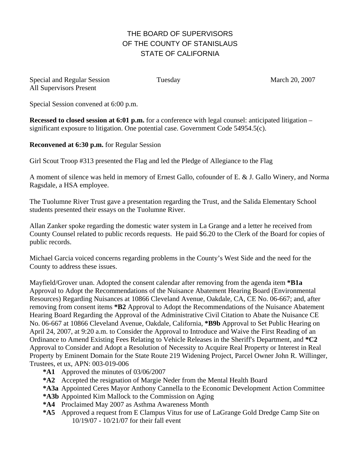## THE BOARD OF SUPERVISORS OF THE COUNTY OF STANISLAUS STATE OF CALIFORNIA

| Special and Regular Session    |  |
|--------------------------------|--|
| <b>All Supervisors Present</b> |  |

Tuesday March 20, 2007

Special Session convened at 6:00 p.m.

**Recessed to closed session at 6:01 p.m.** for a conference with legal counsel: anticipated litigation – significant exposure to litigation. One potential case. Government Code 54954.5(c).

**Reconvened at 6:30 p.m.** for Regular Session

Girl Scout Troop #313 presented the Flag and led the Pledge of Allegiance to the Flag

A moment of silence was held in memory of Ernest Gallo, cofounder of E. & J. Gallo Winery, and Norma Ragsdale, a HSA employee.

The Tuolumne River Trust gave a presentation regarding the Trust, and the Salida Elementary School students presented their essays on the Tuolumne River.

Allan Zanker spoke regarding the domestic water system in La Grange and a letter he received from County Counsel related to public records requests. He paid \$6.20 to the Clerk of the Board for copies of public records.

Michael Garcia voiced concerns regarding problems in the County's West Side and the need for the County to address these issues.

Mayfield/Grover unan. Adopted the consent calendar after removing from the agenda item **\*B1a** Approval to Adopt the Recommendations of the Nuisance Abatement Hearing Board (Environmental Resources) Regarding Nuisances at 10866 Cleveland Avenue, Oakdale, CA, CE No. 06-667; and, after removing from consent items **\*B2** Approval to Adopt the Recommendations of the Nuisance Abatement Hearing Board Regarding the Approval of the Administrative Civil Citation to Abate the Nuisance CE No. 06-667 at 10866 Cleveland Avenue, Oakdale, California, **\*B9b** Approval to Set Public Hearing on April 24, 2007, at 9:20 a.m. to Consider the Approval to Introduce and Waive the First Reading of an Ordinance to Amend Existing Fees Relating to Vehicle Releases in the Sheriff's Department, and **\*C2** Approval to Consider and Adopt a Resolution of Necessity to Acquire Real Property or Interest in Real Property by Eminent Domain for the State Route 219 Widening Project, Parcel Owner John R. Willinger, Trustees, et ux, APN: 003-019-006

- **\*A1** Approved the minutes of 03/06/2007
- **\*A2** Accepted the resignation of Margie Neder from the Mental Health Board
- **\*A3a** Appointed Ceres Mayor Anthony Cannella to the Economic Development Action Committee
- **\*A3b** Appointed Kim Mallock to the Commission on Aging
- **\*A4** Proclaimed May 2007 as Asthma Awareness Month
- **\*A5** Approved a request from E Clampus Vitus for use of LaGrange Gold Dredge Camp Site on 10/19/07 - 10/21/07 for their fall event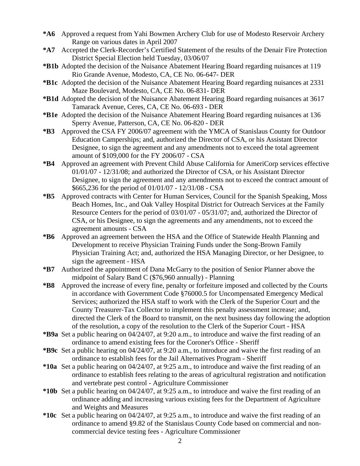- **\*A6** Approved a request from Yahi Bowmen Archery Club for use of Modesto Reservoir Archery Range on various dates in April 2007
- **\*A7** Accepted the Clerk-Recorder's Certified Statement of the results of the Denair Fire Protection District Special Election held Tuesday, 03/06/07
- **\*B1b** Adopted the decision of the Nuisance Abatement Hearing Board regarding nuisances at 119 Rio Grande Avenue, Modesto, CA, CE No. 06-647- DER
- **\*B1c** Adopted the decision of the Nuisance Abatement Hearing Board regarding nuisances at 2331 Maze Boulevard, Modesto, CA, CE No. 06-831- DER
- **\*B1d** Adopted the decision of the Nuisance Abatement Hearing Board regarding nuisances at 3617 Tamarack Avenue, Ceres, CA, CE No. 06-693 - DER
- **\*B1e** Adopted the decision of the Nuisance Abatement Hearing Board regarding nuisances at 136 Sperry Avenue, Patterson, CA, CE No. 06-820 - DER
- **\*B3** Approved the CSA FY 2006/07 agreement with the YMCA of Stanislaus County for Outdoor Education Camperships; and, authorized the Director of CSA, or his Assistant Director Designee, to sign the agreement and any amendments not to exceed the total agreement amount of \$109,000 for the FY 2006/07 - CSA
- **\*B4** Approved an agreement with Prevent Child Abuse California for AmeriCorp services effective 01/01/07 - 12/31/08; and authorized the Director of CSA, or his Assistant Director Designee, to sign the agreement and any amendments not to exceed the contract amount of \$665,236 for the period of 01/01/07 - 12/31/08 - CSA
- **\*B5** Approved contracts with Center for Human Services, Council for the Spanish Speaking, Moss Beach Homes, Inc., and Oak Valley Hospital District for Outreach Services at the Family Resource Centers for the period of 03/01/07 - 05/31/07; and, authorized the Director of CSA, or his Designee, to sign the agreements and any amendments, not to exceed the agreement amounts - CSA
- **\*B6** Approved an agreement between the HSA and the Office of Statewide Health Planning and Development to receive Physician Training Funds under the Song-Brown Family Physician Training Act; and, authorized the HSA Managing Director, or her Designee, to sign the agreement - HSA
- **\*B7** Authorized the appointment of Dana McGarry to the position of Senior Planner above the midpoint of Salary Band C (\$76,960 annually) - Planning
- **\*B8** Approved the increase of every fine, penalty or forfeiture imposed and collected by the Courts in accordance with Government Code §76000.5 for Uncompensated Emergency Medical Services; authorized the HSA staff to work with the Clerk of the Superior Court and the County Treasurer-Tax Collector to implement this penalty assessment increase; and, directed the Clerk of the Board to transmit, on the next business day following the adoption of the resolution, a copy of the resolution to the Clerk of the Superior Court - HSA
- **\*B9a** Set a public hearing on 04/24/07, at 9:20 a.m., to introduce and waive the first reading of an ordinance to amend existing fees for the Coroner's Office - Sheriff
- **\*B9c** Set a public hearing on 04/24/07, at 9:20 a.m., to introduce and waive the first reading of an ordinance to establish fees for the Jail Alternatives Program - Sheriff
- **\*10a** Set a public hearing on 04/24/07, at 9:25 a.m., to introduce and waive the first reading of an ordinance to establish fees relating to the areas of agricultural registration and notification and vertebrate pest control - Agriculture Commissioner
- **\*10b** Set a public hearing on 04/24/07, at 9:25 a.m., to introduce and waive the first reading of an ordinance adding and increasing various existing fees for the Department of Agriculture and Weights and Measures
- **\*10c** Set a public hearing on 04/24/07, at 9:25 a.m., to introduce and waive the first reading of an ordinance to amend §9.82 of the Stanislaus County Code based on commercial and noncommercial device testing fees - Agriculture Commissioner